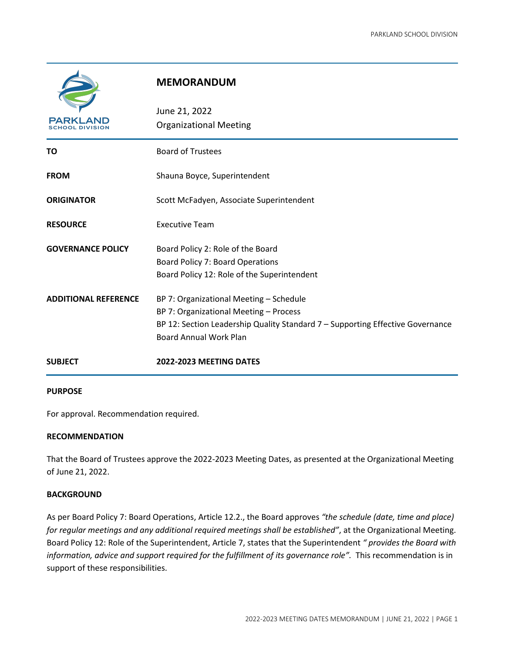

# **MEMORANDUM**

| PARKLAND                    | June 21, 2022<br><b>Organizational Meeting</b>                                                                                                                                                         |
|-----------------------------|--------------------------------------------------------------------------------------------------------------------------------------------------------------------------------------------------------|
| ΤО                          | <b>Board of Trustees</b>                                                                                                                                                                               |
| <b>FROM</b>                 | Shauna Boyce, Superintendent                                                                                                                                                                           |
| <b>ORIGINATOR</b>           | Scott McFadyen, Associate Superintendent                                                                                                                                                               |
| <b>RESOURCE</b>             | <b>Executive Team</b>                                                                                                                                                                                  |
| <b>GOVERNANCE POLICY</b>    | Board Policy 2: Role of the Board<br><b>Board Policy 7: Board Operations</b><br>Board Policy 12: Role of the Superintendent                                                                            |
| <b>ADDITIONAL REFERENCE</b> | BP 7: Organizational Meeting - Schedule<br>BP 7: Organizational Meeting - Process<br>BP 12: Section Leadership Quality Standard $7$ – Supporting Effective Governance<br><b>Board Annual Work Plan</b> |
| <b>SUBJECT</b>              | 2022-2023 MEETING DATES                                                                                                                                                                                |

## **PURPOSE**

For approval. Recommendation required.

# **RECOMMENDATION**

That the Board of Trustees approve the 2022-2023 Meeting Dates, as presented at the Organizational Meeting of June 21, 2022.

# **BACKGROUND**

As per Board Policy 7: Board Operations, Article 12.2., the Board approves *"the schedule (date, time and place) for regular meetings and any additional required meetings shall be established"*, at the Organizational Meeting. Board Policy 12: Role of the Superintendent, Article 7, states that the Superintendent *" provides the Board with information, advice and support required for the fulfillment of its governance role".* This recommendation is in support of these responsibilities.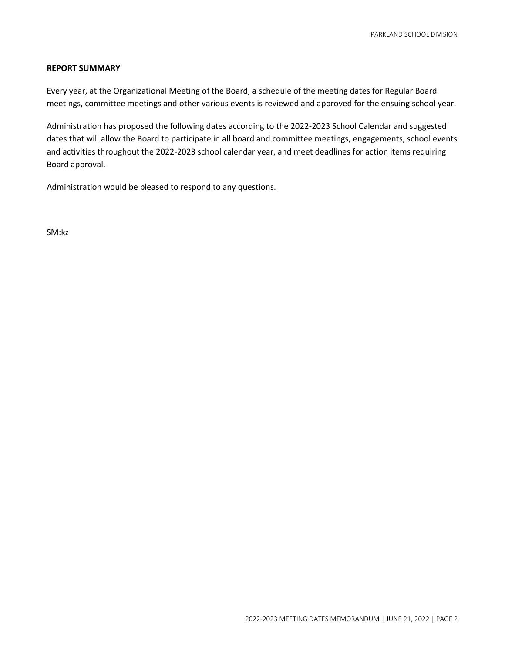# **REPORT SUMMARY**

Every year, at the Organizational Meeting of the Board, a schedule of the meeting dates for Regular Board meetings, committee meetings and other various events is reviewed and approved for the ensuing school year.

Administration has proposed the following dates according to the 2022-2023 School Calendar and suggested dates that will allow the Board to participate in all board and committee meetings, engagements, school events and activities throughout the 2022-2023 school calendar year, and meet deadlines for action items requiring Board approval.

Administration would be pleased to respond to any questions.

SM:kz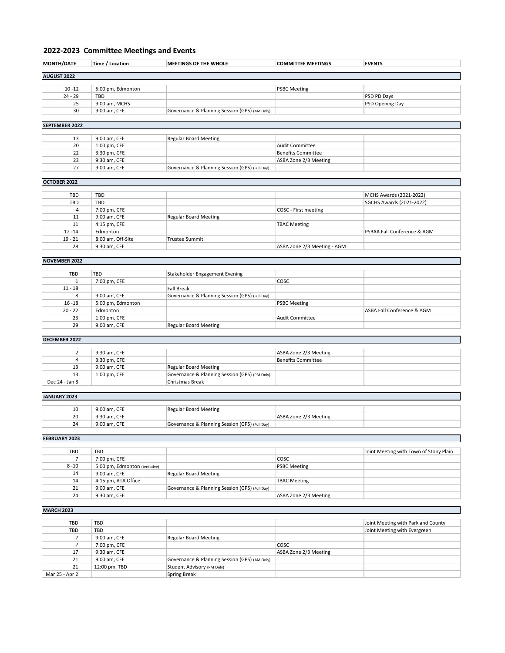# **2022-2023 Committee Meetings and Events**

| <b>MONTH/DATE</b>  | Time / Location   | <b>MEETINGS OF THE WHOLE</b>                  | <b>COMMITTEE MEETINGS</b> | <b>EVENTS</b>          |
|--------------------|-------------------|-----------------------------------------------|---------------------------|------------------------|
|                    |                   |                                               |                           |                        |
| <b>AUGUST 2022</b> |                   |                                               |                           |                        |
|                    |                   |                                               |                           |                        |
| $10 - 12$          | 5:00 pm, Edmonton |                                               | <b>PSBC Meeting</b>       |                        |
| $24 - 29$          | TBD               |                                               |                           | PSD PD Days            |
| 25                 | 9:00 am, MCHS     |                                               |                           | <b>PSD Opening Day</b> |
| 30                 | 9:00 am, CFE      | Governance & Planning Session (GPS) (AM Only) |                           |                        |
|                    |                   |                                               |                           |                        |

### **SEPTEMBER 2022**

| 13 | 9:00 am, CFE | Regular Board Meeting                          |                       |  |
|----|--------------|------------------------------------------------|-----------------------|--|
| 20 | 1:00 pm, CFE |                                                | Audit Committee       |  |
| 22 | 3:30 pm, CFE |                                                | Benefits Committee    |  |
| 23 | 9:30 am, CFE |                                                | ASBA Zone 2/3 Meeting |  |
| 27 | 9:00 am, CFE | Governance & Planning Session (GPS) (Full Day) |                       |  |

### **OCTOBER 2022**

| TBD       | <b>TBD</b>        |                              |                             | MCHS Awards (2021-2022)     |
|-----------|-------------------|------------------------------|-----------------------------|-----------------------------|
| TBD       | <b>TBD</b>        |                              |                             | SGCHS Awards (2021-2022)    |
| 4         | 7:00 pm, CFE      |                              | COSC - First meeting        |                             |
| 11        | 9:00 am, CFE      | <b>Regular Board Meeting</b> |                             |                             |
| 11        | 4:15 pm, CFE      |                              | <b>TBAC Meeting</b>         |                             |
| $12 - 14$ | Edmonton          |                              |                             | PSBAA Fall Conference & AGM |
| $19 - 21$ | 8:00 am, Off-Site | Trustee Summit               |                             |                             |
| 28        | 9:30 am, CFE      |                              | ASBA Zone 2/3 Meeting - AGM |                             |
|           |                   |                              |                             |                             |

### **NOVEMBER 2022**

| TBD       | TBD               | Stakeholder Engagement Evening                 |                     |                            |
|-----------|-------------------|------------------------------------------------|---------------------|----------------------------|
|           | 7:00 pm, CFE      |                                                | <b>COSC</b>         |                            |
| $11 - 18$ |                   | <b>Fall Break</b>                              |                     |                            |
| 8         | 9:00 am, CFE      | Governance & Planning Session (GPS) (Full Day) |                     |                            |
| $16 - 18$ | 5:00 pm, Edmonton |                                                | <b>PSBC Meeting</b> |                            |
| $20 - 22$ | Edmonton          |                                                |                     | ASBA Fall Conference & AGM |
| 23        | 1:00 pm, CFE      |                                                | Audit Committee     |                            |
| 29        | 9:00 am, CFE      | <b>Regular Board Meeting</b>                   |                     |                            |
|           |                   |                                                |                     |                            |

# **DECEMBER 2022**

|                | 9:30 am. CFE |                                               | ASBA Zone 2/3 Meeting |  |
|----------------|--------------|-----------------------------------------------|-----------------------|--|
| ۰              | 3:30 pm, CFE |                                               | Benefits Committee    |  |
| 13             | 9:00 am, CFE | <b>Regular Board Meeting</b>                  |                       |  |
| 13             | 1:00 pm, CFE | Governance & Planning Session (GPS) (PM Only) |                       |  |
| Dec 24 - Jan 8 |              | Christmas Break                               |                       |  |

### **JANUARY 2023**

| 10 | 9:00 am. CFE | Regular Board Meeting                          |                       |  |
|----|--------------|------------------------------------------------|-----------------------|--|
| 20 | 9:30 am. CFE |                                                | ASBA Zone 2/3 Meeting |  |
| 24 | 9:00 am. CFE | Governance & Planning Session (GPS) (Full Day) |                       |  |

# **FEBRUARY 2023**

| TBD      | <b>TBD</b>                    |                                                |                       | Joint Meeting with Town of Stony Plain |
|----------|-------------------------------|------------------------------------------------|-----------------------|----------------------------------------|
|          | 7:00 pm, CFE                  |                                                | <b>COSC</b>           |                                        |
| $8 - 10$ | 5:00 pm, Edmonton (tentative) |                                                | <b>PSBC Meeting</b>   |                                        |
| 14       | 9:00 am, CFE                  | Regular Board Meeting                          |                       |                                        |
| 14       | 4:15 pm, ATA Office           |                                                | <b>TBAC Meeting</b>   |                                        |
| 21       | 9:00 am, CFE                  | Governance & Planning Session (GPS) (Full Day) |                       |                                        |
| 24       | 9:30 am, CFE                  |                                                | ASBA Zone 2/3 Meeting |                                        |

# **MARCH 2023**

| TBD            | <b>TBD</b>    |                                               |                       | Joint Meeting with Parkland County |
|----------------|---------------|-----------------------------------------------|-----------------------|------------------------------------|
| TBD            | <b>TBD</b>    |                                               |                       | Joint Meeting with Evergreen       |
|                | 9:00 am, CFE  | Regular Board Meeting                         |                       |                                    |
|                | 7:00 pm, CFE  |                                               | <b>COSC</b>           |                                    |
| 17             | 9:30 am, CFE  |                                               | ASBA Zone 2/3 Meeting |                                    |
| 21             | 9:00 am, CFE  | Governance & Planning Session (GPS) (AM Only) |                       |                                    |
| 21             | 12:00 pm, TBD | Student Advisory (PM Only)                    |                       |                                    |
| Mar 25 - Apr 2 |               | Spring Break                                  |                       |                                    |